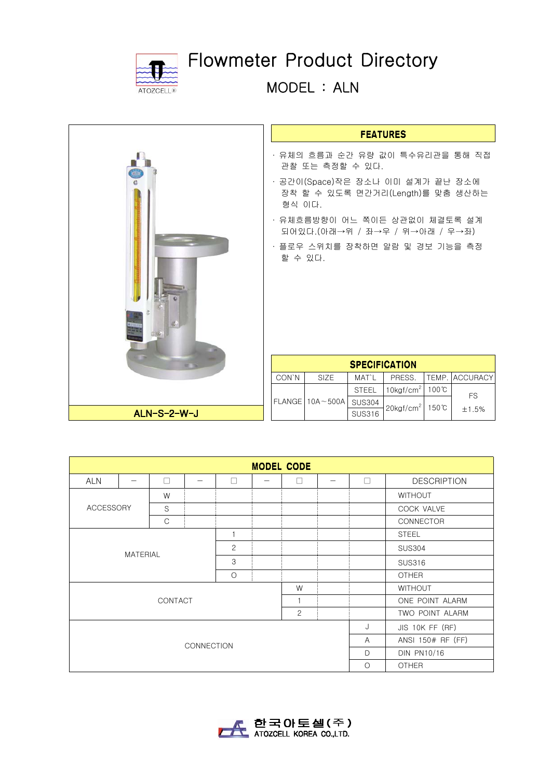

## Flowmeter Product Directory

MODEL : ALN

| $\vec{c}$<br>边脑<br>۰ |
|----------------------|
| ALN-S-2-W-J          |

| EATURE; |  | ÷. |
|---------|--|----|

- ∙ 유체의 흐름과 순간 유량 값이 특수유리관을 통해 직접 관찰 또는 측정할 수 있다.
- ∙ 공간이(Space)작은 장소나 이미 설계가 끝난 장소에 장착 할 수 있도록 면간거리(Length)를 맞춤 생산하는 형식 이다.
- ∙ 유체흐름방향이 어느 쪽이든 상관없이 체결토록 설계 되어있다.(아래→위 / 좌→우 / 위→아래 / 우→좌)
- ∙ 플로우 스위치를 장착하면 알람 및 경보 기능을 측정 할 수 있다.

| <b>SPECIFICATION</b> |                       |               |                          |                 |                 |  |  |  |
|----------------------|-----------------------|---------------|--------------------------|-----------------|-----------------|--|--|--|
| CON'N                | <b>SIZE</b>           | MAT'L         | PRESS.                   |                 | TEMP.  ACCURACY |  |  |  |
|                      |                       | <b>STEEL</b>  | $10$ kgf/cm <sup>2</sup> | $100^{\circ}$ C | <b>FS</b>       |  |  |  |
|                      | $FLANGE$   10A ~ 500A | <b>SUS304</b> | $20$ kgf/cm <sup>2</sup> | 150℃            |                 |  |  |  |
|                      |                       | <b>SUS316</b> |                          |                 | $+1.5%$         |  |  |  |

| <b>MODEL CODE</b>                         |  |   |  |        |  |        |                    |                  |                    |  |
|-------------------------------------------|--|---|--|--------|--|--------|--------------------|------------------|--------------------|--|
| <b>ALN</b>                                |  | П |  | $\Box$ |  | $\Box$ |                    | П                | <b>DESCRIPTION</b> |  |
| W<br><b>ACCESSORY</b><br>S<br>$\mathsf C$ |  |   |  |        |  |        |                    | <b>WITHOUT</b>   |                    |  |
|                                           |  |   |  |        |  |        |                    |                  | COCK VALVE         |  |
|                                           |  |   |  |        |  |        |                    | <b>CONNECTOR</b> |                    |  |
| 1                                         |  |   |  |        |  |        |                    | <b>STEEL</b>     |                    |  |
| 2                                         |  |   |  |        |  |        |                    | <b>SUS304</b>    |                    |  |
| <b>MATERIAL</b><br>3                      |  |   |  |        |  |        | <b>SUS316</b>      |                  |                    |  |
| $\circ$                                   |  |   |  |        |  |        |                    | <b>OTHER</b>     |                    |  |
| W                                         |  |   |  |        |  |        |                    | <b>WITHOUT</b>   |                    |  |
| CONTACT<br>$\mathbf{1}$                   |  |   |  |        |  |        | ONE POINT ALARM    |                  |                    |  |
| 2                                         |  |   |  |        |  |        | TWO POINT ALARM    |                  |                    |  |
|                                           |  |   |  |        |  |        | J                  | JIS 10K FF (RF)  |                    |  |
| <b>CONNECTION</b>                         |  |   |  |        |  |        | $\overline{A}$     |                  | ANSI 150# RF (FF)  |  |
|                                           |  |   |  |        |  | D      | <b>DIN PN10/16</b> |                  |                    |  |
|                                           |  |   |  |        |  |        | $\bigcirc$         | <b>OTHER</b>     |                    |  |